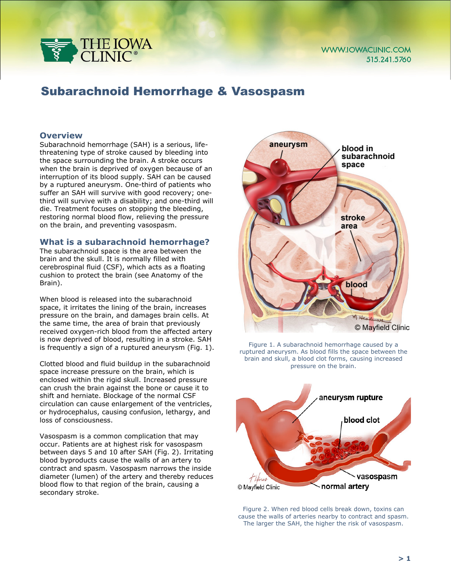

# Subarachnoid Hemorrhage & Vasospasm

## **Overview**

Subarachnoid hemorrhage (SAH) is a serious, lifethreatening type of stroke caused by bleeding into the space surrounding the brain. A stroke occurs when the brain is deprived of oxygen because of an interruption of its blood supply. SAH can be caused by a ruptured aneurysm. One-third of patients who suffer an SAH will survive with good recovery; onethird will survive with a disability; and one-third will die. Treatment focuses on stopping the bleeding, restoring normal blood flow, relieving the pressure on the brain, and preventing vasospasm.

## **What is a subarachnoid hemorrhage?**

The subarachnoid space is the area between the brain and the skull. It is normally filled with cerebrospinal fluid (CSF), which acts as a floating cushion to protect the brain (see Anatomy of the Brain).

When blood is released into the subarachnoid space, it irritates the lining of the brain, increases pressure on the brain, and damages brain cells. At the same time, the area of brain that previously received oxygen-rich blood from the affected artery is now deprived of blood, resulting in a stroke. SAH is frequently a sign of a ruptured aneurysm (Fig. 1).

Clotted blood and fluid buildup in the subarachnoid space increase pressure on the brain, which is enclosed within the rigid skull. Increased pressure can crush the brain against the bone or cause it to shift and herniate. Blockage of the normal CSF circulation can cause enlargement of the ventricles, or hydrocephalus, causing confusion, lethargy, and loss of consciousness.

Vasospasm is a common complication that may occur. Patients are at highest risk for vasospasm between days 5 and 10 after SAH (Fig. 2). Irritating blood byproducts cause the walls of an artery to contract and spasm. Vasospasm narrows the inside diameter (lumen) of the artery and thereby reduces blood flow to that region of the brain, causing a secondary stroke.



Figure 1. A subarachnoid hemorrhage caused by a ruptured aneurysm. As blood fills the space between the brain and skull, a blood clot forms, causing increased pressure on the brain.



Figure 2. When red blood cells break down, toxins can cause the walls of arteries nearby to contract and spasm. The larger the SAH, the higher the risk of vasospasm.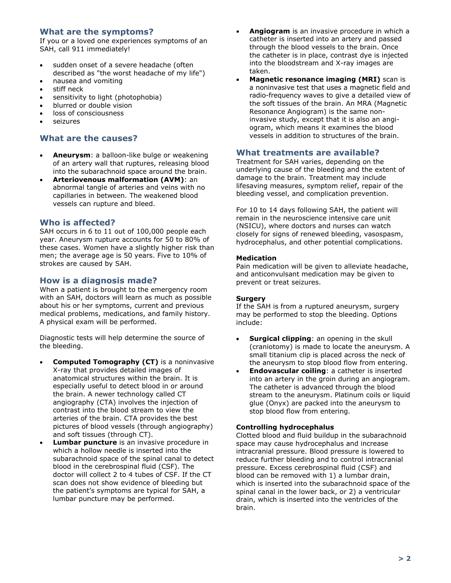# **What are the symptoms?**

If you or a loved one experiences symptoms of an SAH, call 911 immediately!

- sudden onset of a severe headache (often described as "the worst headache of my life")
- nausea and vomiting
- stiff neck
- sensitivity to light (photophobia)
- blurred or double vision
- loss of consciousness
- seizures

# **What are the causes?**

- **Aneurysm**: a balloon-like bulge or weakening of an artery wall that ruptures, releasing blood into the subarachnoid space around the brain.
- **Arteriovenous malformation (AVM)**: an abnormal tangle of arteries and veins with no capillaries in between. The weakened blood vessels can rupture and bleed.

## **Who is affected?**

SAH occurs in 6 to 11 out of 100,000 people each year. Aneurysm rupture accounts for 50 to 80% of these cases. Women have a slightly higher risk than men; the average age is 50 years. Five to 10% of strokes are caused by SAH.

# **How is a diagnosis made?**

When a patient is brought to the emergency room with an SAH, doctors will learn as much as possible about his or her symptoms, current and previous medical problems, medications, and family history. A physical exam will be performed.

Diagnostic tests will help determine the source of the bleeding.

- **Computed Tomography (CT)** is a noninvasive X-ray that provides detailed images of anatomical structures within the brain. It is especially useful to detect blood in or around the brain. A newer technology called CT angiography (CTA) involves the injection of contrast into the blood stream to view the arteries of the brain. CTA provides the best pictures of blood vessels (through angiography) and soft tissues (through CT).
- **Lumbar puncture** is an invasive procedure in which a hollow needle is inserted into the subarachnoid space of the spinal canal to detect blood in the cerebrospinal fluid (CSF). The doctor will collect 2 to 4 tubes of CSF. If the CT scan does not show evidence of bleeding but the patient's symptoms are typical for SAH, a lumbar puncture may be performed.
- **Angiogram** is an invasive procedure in which a catheter is inserted into an artery and passed through the blood vessels to the brain. Once the catheter is in place, contrast dye is injected into the bloodstream and X-ray images are taken.
- **Magnetic resonance imaging (MRI)** scan is a noninvasive test that uses a magnetic field and radio-frequency waves to give a detailed view of the soft tissues of the brain. An MRA (Magnetic Resonance Angiogram) is the same noninvasive study, except that it is also an angiogram, which means it examines the blood vessels in addition to structures of the brain.

# **What treatments are available?**

Treatment for SAH varies, depending on the underlying cause of the bleeding and the extent of damage to the brain. Treatment may include lifesaving measures, symptom relief, repair of the bleeding vessel, and complication prevention.

For 10 to 14 days following SAH, the patient will remain in the neuroscience intensive care unit (NSICU), where doctors and nurses can watch closely for signs of renewed bleeding, vasospasm, hydrocephalus, and other potential complications.

## **Medication**

Pain medication will be given to alleviate headache, and anticonvulsant medication may be given to prevent or treat seizures.

## **Surgery**

If the SAH is from a ruptured aneurysm, surgery may be performed to stop the bleeding. Options include:

- **Surgical clipping**: an opening in the skull (craniotomy) is made to locate the aneurysm. A small titanium clip is placed across the neck of the aneurysm to stop blood flow from entering.
- **Endovascular coiling: a catheter is inserted** into an artery in the groin during an angiogram. The catheter is advanced through the blood stream to the aneurysm. Platinum coils or liquid glue (Onyx) are packed into the aneurysm to stop blood flow from entering.

## **Controlling hydrocephalus**

Clotted blood and fluid buildup in the subarachnoid space may cause hydrocephalus and increase intracranial pressure. Blood pressure is lowered to reduce further bleeding and to control intracranial pressure. Excess cerebrospinal fluid (CSF) and blood can be removed with 1) a lumbar drain, which is inserted into the subarachnoid space of the spinal canal in the lower back, or 2) a ventricular drain, which is inserted into the ventricles of the brain.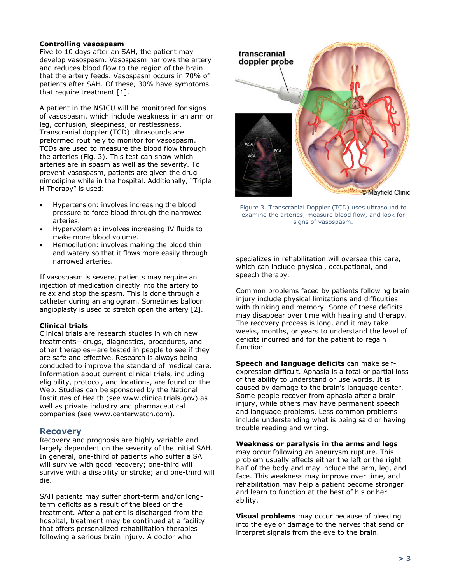#### **Controlling vasospasm**

Five to 10 days after an SAH, the patient may develop vasospasm. Vasospasm narrows the artery and reduces blood flow to the region of the brain that the artery feeds. Vasospasm occurs in 70% of patients after SAH. Of these, 30% have symptoms that require treatment [1].

A patient in the NSICU will be monitored for signs of vasospasm, which include weakness in an arm or leg, confusion, sleepiness, or restlessness. Transcranial doppler (TCD) ultrasounds are preformed routinely to monitor for vasospasm. TCDs are used to measure the blood flow through the arteries (Fig. 3). This test can show which arteries are in spasm as well as the severity. To prevent vasospasm, patients are given the drug nimodipine while in the hospital. Additionally, "Triple H Therapy" is used:

- Hypertension: involves increasing the blood pressure to force blood through the narrowed arteries.
- Hypervolemia: involves increasing IV fluids to make more blood volume.
- Hemodilution: involves making the blood thin and watery so that it flows more easily through narrowed arteries.

If vasospasm is severe, patients may require an injection of medication directly into the artery to relax and stop the spasm. This is done through a catheter during an angiogram. Sometimes balloon angioplasty is used to stretch open the artery [2].

## **Clinical trials**

Clinical trials are research studies in which new treatments—drugs, diagnostics, procedures, and other therapies—are tested in people to see if they are safe and effective. Research is always being conducted to improve the standard of medical care. Information about current clinical trials, including eligibility, protocol, and locations, are found on the Web. Studies can be sponsored by the National Institutes of Health (see www.clinicaltrials.gov) as well as private industry and pharmaceutical companies (see www.centerwatch.com).

## **Recovery**

Recovery and prognosis are highly variable and largely dependent on the severity of the initial SAH. In general, one-third of patients who suffer a SAH will survive with good recovery; one-third will survive with a disability or stroke; and one-third will die.

SAH patients may suffer short-term and/or longterm deficits as a result of the bleed or the treatment. After a patient is discharged from the hospital, treatment may be continued at a facility that offers personalized rehabilitation therapies following a serious brain injury. A doctor who



Figure 3. Transcranial Doppler (TCD) uses ultrasound to examine the arteries, measure blood flow, and look for signs of vasospasm.

specializes in rehabilitation will oversee this care, which can include physical, occupational, and speech therapy.

Common problems faced by patients following brain injury include physical limitations and difficulties with thinking and memory. Some of these deficits may disappear over time with healing and therapy. The recovery process is long, and it may take weeks, months, or years to understand the level of deficits incurred and for the patient to regain function.

**Speech and language deficits** can make selfexpression difficult. Aphasia is a total or partial loss of the ability to understand or use words. It is caused by damage to the brain's language center. Some people recover from aphasia after a brain injury, while others may have permanent speech and language problems. Less common problems include understanding what is being said or having trouble reading and writing.

#### **Weakness or paralysis in the arms and legs**

may occur following an aneurysm rupture. This problem usually affects either the left or the right half of the body and may include the arm, leg, and face. This weakness may improve over time, and rehabilitation may help a patient become stronger and learn to function at the best of his or her ability.

**Visual problems** may occur because of bleeding into the eye or damage to the nerves that send or interpret signals from the eye to the brain.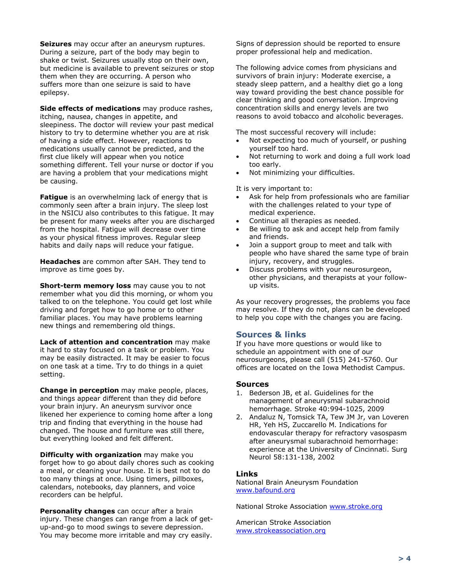**Seizures** may occur after an aneurysm ruptures. During a seizure, part of the body may begin to shake or twist. Seizures usually stop on their own, but medicine is available to prevent seizures or stop them when they are occurring. A person who suffers more than one seizure is said to have epilepsy.

**Side effects of medications** may produce rashes, itching, nausea, changes in appetite, and sleepiness. The doctor will review your past medical history to try to determine whether you are at risk of having a side effect. However, reactions to medications usually cannot be predicted, and the first clue likely will appear when you notice something different. Tell your nurse or doctor if you are having a problem that your medications might be causing.

**Fatigue** is an overwhelming lack of energy that is commonly seen after a brain injury. The sleep lost in the NSICU also contributes to this fatigue. It may be present for many weeks after you are discharged from the hospital. Fatigue will decrease over time as your physical fitness improves. Regular sleep habits and daily naps will reduce your fatigue.

**Headaches** are common after SAH. They tend to improve as time goes by.

**Short-term memory loss** may cause you to not remember what you did this morning, or whom you talked to on the telephone. You could get lost while driving and forget how to go home or to other familiar places. You may have problems learning new things and remembering old things.

**Lack of attention and concentration** may make it hard to stay focused on a task or problem. You may be easily distracted. It may be easier to focus on one task at a time. Try to do things in a quiet setting.

**Change in perception** may make people, places, and things appear different than they did before your brain injury. An aneurysm survivor once likened her experience to coming home after a long trip and finding that everything in the house had changed. The house and furniture was still there, but everything looked and felt different.

**Difficulty with organization** may make you forget how to go about daily chores such as cooking a meal, or cleaning your house. It is best not to do too many things at once. Using timers, pillboxes, calendars, notebooks, day planners, and voice recorders can be helpful.

**Personality changes** can occur after a brain injury. These changes can range from a lack of getup-and-go to mood swings to severe depression. You may become more irritable and may cry easily.

Signs of depression should be reported to ensure proper professional help and medication.

The following advice comes from physicians and survivors of brain injury: Moderate exercise, a steady sleep pattern, and a healthy diet go a long way toward providing the best chance possible for clear thinking and good conversation. Improving concentration skills and energy levels are two reasons to avoid tobacco and alcoholic beverages.

The most successful recovery will include:

- Not expecting too much of yourself, or pushing yourself too hard.
- Not returning to work and doing a full work load too early.
- Not minimizing your difficulties.

It is very important to:

- Ask for help from professionals who are familiar with the challenges related to your type of medical experience.
- Continue all therapies as needed.
- Be willing to ask and accept help from family and friends.
- Join a support group to meet and talk with people who have shared the same type of brain injury, recovery, and struggles.
- Discuss problems with your neurosurgeon, other physicians, and therapists at your followup visits.

As your recovery progresses, the problems you face may resolve. If they do not, plans can be developed to help you cope with the changes you are facing.

#### **Sources & links**

If you have more questions or would like to schedule an appointment with one of our neurosurgeons, please call (515) 241-5760. Our offices are located on the Iowa Methodist Campus.

#### **Sources**

- 1. Bederson JB, et al. Guidelines for the management of aneurysmal subarachnoid hemorrhage. Stroke 40:994-1025, 2009
- 2. Andaluz N, Tomsick TA, Tew JM Jr, van Loveren HR, Yeh HS, Zuccarello M. Indications for endovascular therapy for refractory vasospasm after aneurysmal subarachnoid hemorrhage: experience at the University of Cincinnati. Surg Neurol 58:131-138, 2002

#### **Links**

National Brain Aneurysm Foundation [www.bafound.org](http://www.bafound.org/)

National Stroke Association [www.stroke.org](http://www.stroke.org/)

American Stroke Association [www.strokeassociation.org](http://www.strokeassociation.org/)